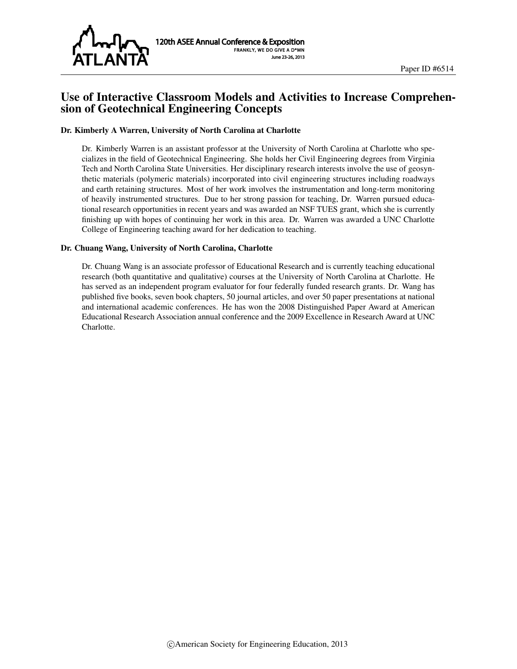

## Use of Interactive Classroom Models and Activities to Increase Comprehension of Geotechnical Engineering Concepts

#### Dr. Kimberly A Warren, University of North Carolina at Charlotte

Dr. Kimberly Warren is an assistant professor at the University of North Carolina at Charlotte who specializes in the field of Geotechnical Engineering. She holds her Civil Engineering degrees from Virginia Tech and North Carolina State Universities. Her disciplinary research interests involve the use of geosynthetic materials (polymeric materials) incorporated into civil engineering structures including roadways and earth retaining structures. Most of her work involves the instrumentation and long-term monitoring of heavily instrumented structures. Due to her strong passion for teaching, Dr. Warren pursued educational research opportunities in recent years and was awarded an NSF TUES grant, which she is currently finishing up with hopes of continuing her work in this area. Dr. Warren was awarded a UNC Charlotte College of Engineering teaching award for her dedication to teaching.

#### Dr. Chuang Wang, University of North Carolina, Charlotte

Dr. Chuang Wang is an associate professor of Educational Research and is currently teaching educational research (both quantitative and qualitative) courses at the University of North Carolina at Charlotte. He has served as an independent program evaluator for four federally funded research grants. Dr. Wang has published five books, seven book chapters, 50 journal articles, and over 50 paper presentations at national and international academic conferences. He has won the 2008 Distinguished Paper Award at American Educational Research Association annual conference and the 2009 Excellence in Research Award at UNC Charlotte.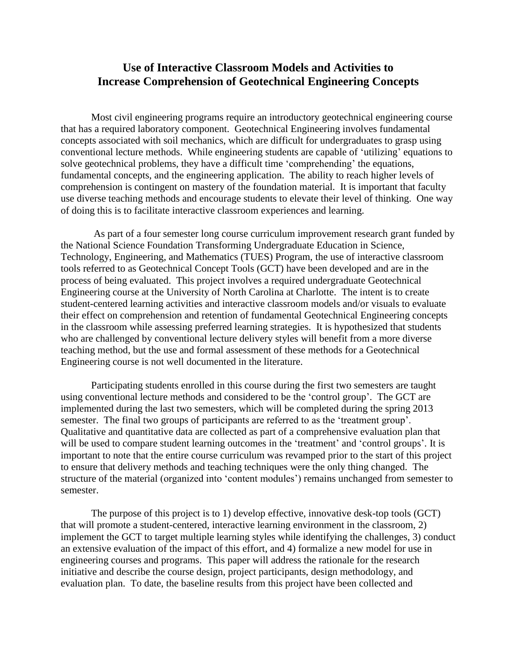# **Use of Interactive Classroom Models and Activities to Increase Comprehension of Geotechnical Engineering Concepts**

Most civil engineering programs require an introductory geotechnical engineering course that has a required laboratory component. Geotechnical Engineering involves fundamental concepts associated with soil mechanics, which are difficult for undergraduates to grasp using conventional lecture methods. While engineering students are capable of 'utilizing' equations to solve geotechnical problems, they have a difficult time 'comprehending' the equations, fundamental concepts, and the engineering application. The ability to reach higher levels of comprehension is contingent on mastery of the foundation material. It is important that faculty use diverse teaching methods and encourage students to elevate their level of thinking. One way of doing this is to facilitate interactive classroom experiences and learning.

As part of a four semester long course curriculum improvement research grant funded by the National Science Foundation Transforming Undergraduate Education in Science, Technology, Engineering, and Mathematics (TUES) Program, the use of interactive classroom tools referred to as Geotechnical Concept Tools (GCT) have been developed and are in the process of being evaluated. This project involves a required undergraduate Geotechnical Engineering course at the University of North Carolina at Charlotte. The intent is to create student-centered learning activities and interactive classroom models and/or visuals to evaluate their effect on comprehension and retention of fundamental Geotechnical Engineering concepts in the classroom while assessing preferred learning strategies. It is hypothesized that students who are challenged by conventional lecture delivery styles will benefit from a more diverse teaching method, but the use and formal assessment of these methods for a Geotechnical Engineering course is not well documented in the literature.

Participating students enrolled in this course during the first two semesters are taught using conventional lecture methods and considered to be the 'control group'. The GCT are implemented during the last two semesters, which will be completed during the spring 2013 semester. The final two groups of participants are referred to as the 'treatment group'. Qualitative and quantitative data are collected as part of a comprehensive evaluation plan that will be used to compare student learning outcomes in the 'treatment' and 'control groups'. It is important to note that the entire course curriculum was revamped prior to the start of this project to ensure that delivery methods and teaching techniques were the only thing changed. The structure of the material (organized into 'content modules') remains unchanged from semester to semester.

The purpose of this project is to 1) develop effective, innovative desk-top tools (GCT) that will promote a student-centered, interactive learning environment in the classroom, 2) implement the GCT to target multiple learning styles while identifying the challenges, 3) conduct an extensive evaluation of the impact of this effort, and 4) formalize a new model for use in engineering courses and programs. This paper will address the rationale for the research initiative and describe the course design, project participants, design methodology, and evaluation plan. To date, the baseline results from this project have been collected and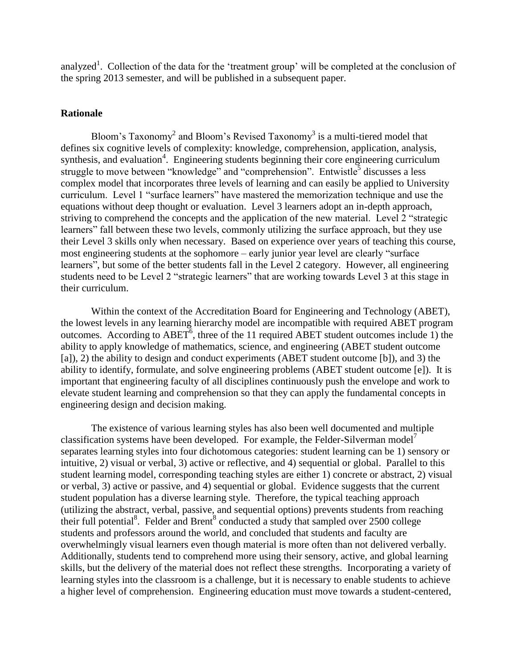analyzed<sup>1</sup>. Collection of the data for the 'treatment group' will be completed at the conclusion of the spring 2013 semester, and will be published in a subsequent paper.

#### **Rationale**

Bloom's Taxonomy<sup>2</sup> and Bloom's Revised Taxonomy<sup>3</sup> is a multi-tiered model that defines six cognitive levels of complexity: knowledge, comprehension, application, analysis, synthesis, and evaluation<sup>4</sup>. Engineering students beginning their core engineering curriculum struggle to move between "knowledge" and "comprehension". Entwistle<sup>5</sup> discusses a less complex model that incorporates three levels of learning and can easily be applied to University curriculum. Level 1 "surface learners" have mastered the memorization technique and use the equations without deep thought or evaluation. Level 3 learners adopt an in-depth approach, striving to comprehend the concepts and the application of the new material. Level 2 "strategic learners" fall between these two levels, commonly utilizing the surface approach, but they use their Level 3 skills only when necessary. Based on experience over years of teaching this course, most engineering students at the sophomore – early junior year level are clearly "surface learners", but some of the better students fall in the Level 2 category. However, all engineering students need to be Level 2 "strategic learners" that are working towards Level 3 at this stage in their curriculum.

Within the context of the Accreditation Board for Engineering and Technology (ABET), the lowest levels in any learning hierarchy model are incompatible with required ABET program outcomes. According to  $ABET^6$ , three of the 11 required ABET student outcomes include 1) the ability to apply knowledge of mathematics, science, and engineering (ABET student outcome [a]), 2) the ability to design and conduct experiments (ABET student outcome [b]), and 3) the ability to identify, formulate, and solve engineering problems (ABET student outcome [e]). It is important that engineering faculty of all disciplines continuously push the envelope and work to elevate student learning and comprehension so that they can apply the fundamental concepts in engineering design and decision making.

The existence of various learning styles has also been well documented and multiple classification systems have been developed. For example, the Felder-Silverman model<sup>7</sup> separates learning styles into four dichotomous categories: student learning can be 1) sensory or intuitive, 2) visual or verbal, 3) active or reflective, and 4) sequential or global. Parallel to this student learning model, corresponding teaching styles are either 1) concrete or abstract, 2) visual or verbal, 3) active or passive, and 4) sequential or global. Evidence suggests that the current student population has a diverse learning style. Therefore, the typical teaching approach (utilizing the abstract, verbal, passive, and sequential options) prevents students from reaching their full potential<sup>8</sup>. Felder and Brent<sup>8</sup> conducted a study that sampled over 2500 college students and professors around the world, and concluded that students and faculty are overwhelmingly visual learners even though material is more often than not delivered verbally. Additionally, students tend to comprehend more using their sensory, active, and global learning skills, but the delivery of the material does not reflect these strengths. Incorporating a variety of learning styles into the classroom is a challenge, but it is necessary to enable students to achieve a higher level of comprehension. Engineering education must move towards a student-centered,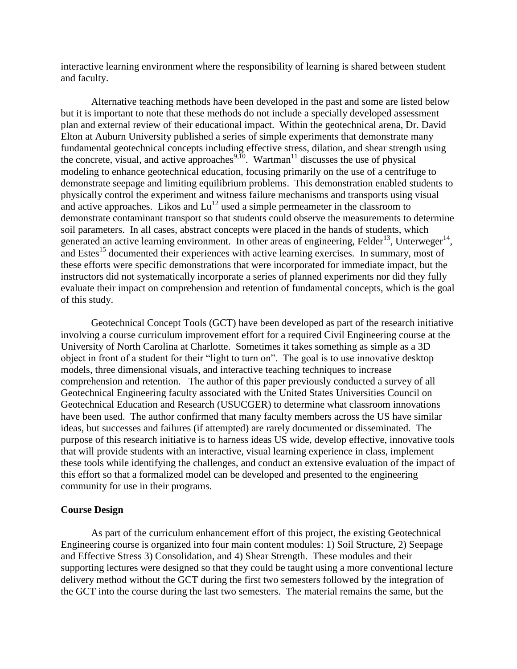interactive learning environment where the responsibility of learning is shared between student and faculty.

Alternative teaching methods have been developed in the past and some are listed below but it is important to note that these methods do not include a specially developed assessment plan and external review of their educational impact. Within the geotechnical arena, Dr. David Elton at Auburn University published a series of simple experiments that demonstrate many fundamental geotechnical concepts including effective stress, dilation, and shear strength using the concrete, visual, and active approaches<sup>9,10</sup>. Wartman<sup>11</sup> discusses the use of physical modeling to enhance geotechnical education, focusing primarily on the use of a centrifuge to demonstrate seepage and limiting equilibrium problems. This demonstration enabled students to physically control the experiment and witness failure mechanisms and transports using visual and active approaches. Likos and  $Lu^{12}$  used a simple permeameter in the classroom to demonstrate contaminant transport so that students could observe the measurements to determine soil parameters. In all cases, abstract concepts were placed in the hands of students, which generated an active learning environment. In other areas of engineering, Felder<sup>13</sup>, Unterweger<sup>14</sup>, and Estes<sup>15</sup> documented their experiences with active learning exercises. In summary, most of these efforts were specific demonstrations that were incorporated for immediate impact, but the instructors did not systematically incorporate a series of planned experiments nor did they fully evaluate their impact on comprehension and retention of fundamental concepts, which is the goal of this study.

Geotechnical Concept Tools (GCT) have been developed as part of the research initiative involving a course curriculum improvement effort for a required Civil Engineering course at the University of North Carolina at Charlotte. Sometimes it takes something as simple as a 3D object in front of a student for their "light to turn on". The goal is to use innovative desktop models, three dimensional visuals, and interactive teaching techniques to increase comprehension and retention. The author of this paper previously conducted a survey of all Geotechnical Engineering faculty associated with the United States Universities Council on Geotechnical Education and Research (USUCGER) to determine what classroom innovations have been used. The author confirmed that many faculty members across the US have similar ideas, but successes and failures (if attempted) are rarely documented or disseminated. The purpose of this research initiative is to harness ideas US wide, develop effective, innovative tools that will provide students with an interactive, visual learning experience in class, implement these tools while identifying the challenges, and conduct an extensive evaluation of the impact of this effort so that a formalized model can be developed and presented to the engineering community for use in their programs.

#### **Course Design**

As part of the curriculum enhancement effort of this project, the existing Geotechnical Engineering course is organized into four main content modules: 1) Soil Structure, 2) Seepage and Effective Stress 3) Consolidation, and 4) Shear Strength. These modules and their supporting lectures were designed so that they could be taught using a more conventional lecture delivery method without the GCT during the first two semesters followed by the integration of the GCT into the course during the last two semesters. The material remains the same, but the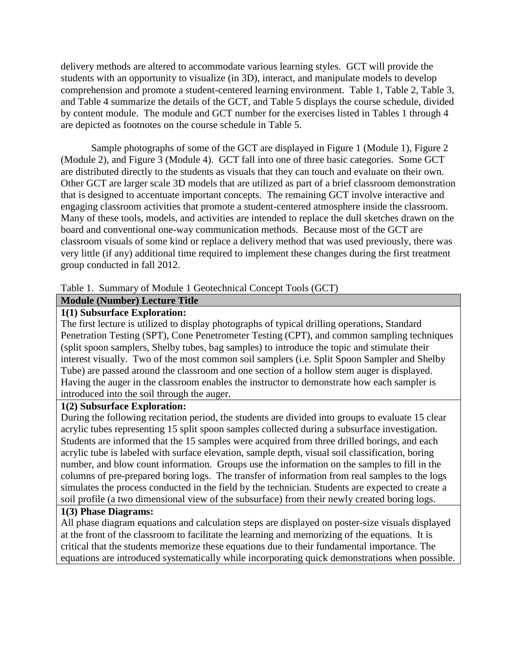delivery methods are altered to accommodate various learning styles. GCT will provide the students with an opportunity to visualize (in 3D), interact, and manipulate models to develop comprehension and promote a student-centered learning environment. Table 1, Table 2, Table 3, and Table 4 summarize the details of the GCT, and Table 5 displays the course schedule, divided by content module. The module and GCT number for the exercises listed in Tables 1 through 4 are depicted as footnotes on the course schedule in Table 5.

Sample photographs of some of the GCT are displayed in Figure 1 (Module 1), Figure 2 (Module 2), and Figure 3 (Module 4). GCT fall into one of three basic categories. Some GCT are distributed directly to the students as visuals that they can touch and evaluate on their own. Other GCT are larger scale 3D models that are utilized as part of a brief classroom demonstration that is designed to accentuate important concepts. The remaining GCT involve interactive and engaging classroom activities that promote a student-centered atmosphere inside the classroom. Many of these tools, models, and activities are intended to replace the dull sketches drawn on the board and conventional one-way communication methods. Because most of the GCT are classroom visuals of some kind or replace a delivery method that was used previously, there was very little (if any) additional time required to implement these changes during the first treatment group conducted in fall 2012.

### Table 1. Summary of Module 1 Geotechnical Concept Tools (GCT)

### **Module (Number) Lecture Title**

## **1(1) Subsurface Exploration:**

The first lecture is utilized to display photographs of typical drilling operations, Standard Penetration Testing (SPT), Cone Penetrometer Testing (CPT), and common sampling techniques (split spoon samplers, Shelby tubes, bag samples) to introduce the topic and stimulate their interest visually. Two of the most common soil samplers (i.e. Split Spoon Sampler and Shelby Tube) are passed around the classroom and one section of a hollow stem auger is displayed. Having the auger in the classroom enables the instructor to demonstrate how each sampler is introduced into the soil through the auger.

## **1(2) Subsurface Exploration:**

During the following recitation period, the students are divided into groups to evaluate 15 clear acrylic tubes representing 15 split spoon samples collected during a subsurface investigation. Students are informed that the 15 samples were acquired from three drilled borings, and each acrylic tube is labeled with surface elevation, sample depth, visual soil classification, boring number, and blow count information. Groups use the information on the samples to fill in the columns of pre-prepared boring logs. The transfer of information from real samples to the logs simulates the process conducted in the field by the technician. Students are expected to create a soil profile (a two dimensional view of the subsurface) from their newly created boring logs.

### **1(3) Phase Diagrams:**

All phase diagram equations and calculation steps are displayed on poster-size visuals displayed at the front of the classroom to facilitate the learning and memorizing of the equations. It is critical that the students memorize these equations due to their fundamental importance. The equations are introduced systematically while incorporating quick demonstrations when possible.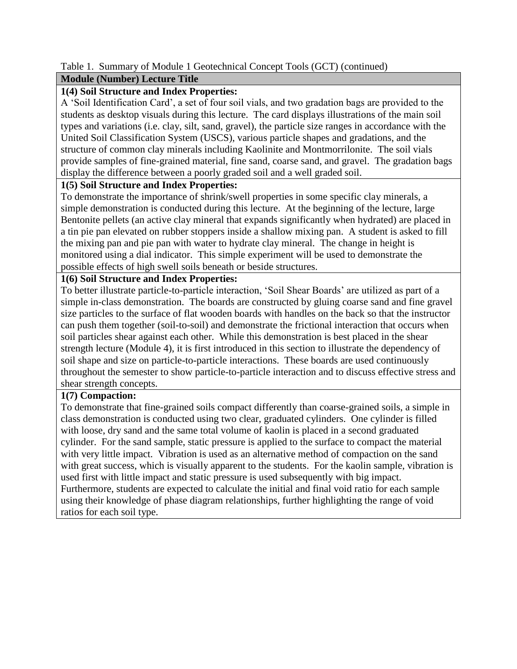## Table 1. Summary of Module 1 Geotechnical Concept Tools (GCT) (continued)

## **Module (Number) Lecture Title**

## **1(4) Soil Structure and Index Properties:**

A 'Soil Identification Card', a set of four soil vials, and two gradation bags are provided to the students as desktop visuals during this lecture. The card displays illustrations of the main soil types and variations (i.e. clay, silt, sand, gravel), the particle size ranges in accordance with the United Soil Classification System (USCS), various particle shapes and gradations, and the structure of common clay minerals including Kaolinite and Montmorrilonite. The soil vials provide samples of fine-grained material, fine sand, coarse sand, and gravel. The gradation bags display the difference between a poorly graded soil and a well graded soil.

## **1(5) Soil Structure and Index Properties:**

To demonstrate the importance of shrink/swell properties in some specific clay minerals, a simple demonstration is conducted during this lecture. At the beginning of the lecture, large Bentonite pellets (an active clay mineral that expands significantly when hydrated) are placed in a tin pie pan elevated on rubber stoppers inside a shallow mixing pan. A student is asked to fill the mixing pan and pie pan with water to hydrate clay mineral. The change in height is monitored using a dial indicator. This simple experiment will be used to demonstrate the possible effects of high swell soils beneath or beside structures.

## **1(6) Soil Structure and Index Properties:**

To better illustrate particle-to-particle interaction, 'Soil Shear Boards' are utilized as part of a simple in-class demonstration. The boards are constructed by gluing coarse sand and fine gravel size particles to the surface of flat wooden boards with handles on the back so that the instructor can push them together (soil-to-soil) and demonstrate the frictional interaction that occurs when soil particles shear against each other. While this demonstration is best placed in the shear strength lecture (Module 4), it is first introduced in this section to illustrate the dependency of soil shape and size on particle-to-particle interactions. These boards are used continuously throughout the semester to show particle-to-particle interaction and to discuss effective stress and shear strength concepts.

## **1(7) Compaction:**

To demonstrate that fine-grained soils compact differently than coarse-grained soils, a simple in class demonstration is conducted using two clear, graduated cylinders. One cylinder is filled with loose, dry sand and the same total volume of kaolin is placed in a second graduated cylinder. For the sand sample, static pressure is applied to the surface to compact the material with very little impact. Vibration is used as an alternative method of compaction on the sand with great success, which is visually apparent to the students. For the kaolin sample, vibration is used first with little impact and static pressure is used subsequently with big impact. Furthermore, students are expected to calculate the initial and final void ratio for each sample using their knowledge of phase diagram relationships, further highlighting the range of void ratios for each soil type.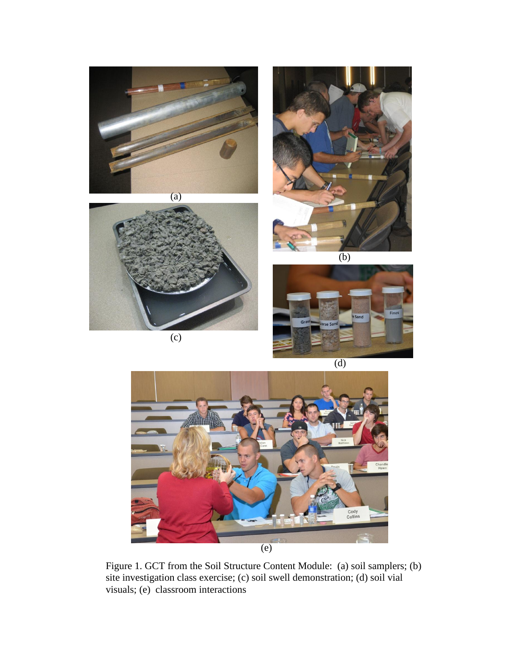





(c)



(d)



Figure 1. GCT from the Soil Structure Content Module: (a) soil samplers; (b) site investigation class exercise; (c) soil swell demonstration; (d) soil vial visuals; (e) classroom interactions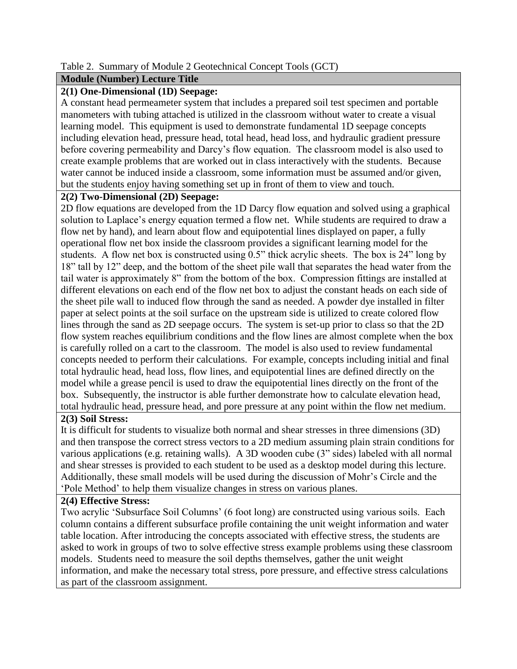### Table 2. Summary of Module 2 Geotechnical Concept Tools (GCT)

## **Module (Number) Lecture Title**

## **2(1) One-Dimensional (1D) Seepage:**

A constant head permeameter system that includes a prepared soil test specimen and portable manometers with tubing attached is utilized in the classroom without water to create a visual learning model. This equipment is used to demonstrate fundamental 1D seepage concepts including elevation head, pressure head, total head, head loss, and hydraulic gradient pressure before covering permeability and Darcy's flow equation. The classroom model is also used to create example problems that are worked out in class interactively with the students. Because water cannot be induced inside a classroom, some information must be assumed and/or given, but the students enjoy having something set up in front of them to view and touch.

## **2(2) Two-Dimensional (2D) Seepage:**

2D flow equations are developed from the 1D Darcy flow equation and solved using a graphical solution to Laplace's energy equation termed a flow net. While students are required to draw a flow net by hand), and learn about flow and equipotential lines displayed on paper, a fully operational flow net box inside the classroom provides a significant learning model for the students. A flow net box is constructed using 0.5" thick acrylic sheets. The box is 24" long by 18" tall by 12" deep, and the bottom of the sheet pile wall that separates the head water from the tail water is approximately 8" from the bottom of the box. Compression fittings are installed at different elevations on each end of the flow net box to adjust the constant heads on each side of the sheet pile wall to induced flow through the sand as needed. A powder dye installed in filter paper at select points at the soil surface on the upstream side is utilized to create colored flow lines through the sand as 2D seepage occurs. The system is set-up prior to class so that the 2D flow system reaches equilibrium conditions and the flow lines are almost complete when the box is carefully rolled on a cart to the classroom. The model is also used to review fundamental concepts needed to perform their calculations. For example, concepts including initial and final total hydraulic head, head loss, flow lines, and equipotential lines are defined directly on the model while a grease pencil is used to draw the equipotential lines directly on the front of the box. Subsequently, the instructor is able further demonstrate how to calculate elevation head, total hydraulic head, pressure head, and pore pressure at any point within the flow net medium.

# **2(3) Soil Stress:**

It is difficult for students to visualize both normal and shear stresses in three dimensions (3D) and then transpose the correct stress vectors to a 2D medium assuming plain strain conditions for various applications (e.g. retaining walls). A 3D wooden cube (3" sides) labeled with all normal and shear stresses is provided to each student to be used as a desktop model during this lecture. Additionally, these small models will be used during the discussion of Mohr's Circle and the 'Pole Method' to help them visualize changes in stress on various planes.

## **2(4) Effective Stress:**

Two acrylic 'Subsurface Soil Columns' (6 foot long) are constructed using various soils. Each column contains a different subsurface profile containing the unit weight information and water table location. After introducing the concepts associated with effective stress, the students are asked to work in groups of two to solve effective stress example problems using these classroom models. Students need to measure the soil depths themselves, gather the unit weight information, and make the necessary total stress, pore pressure, and effective stress calculations as part of the classroom assignment.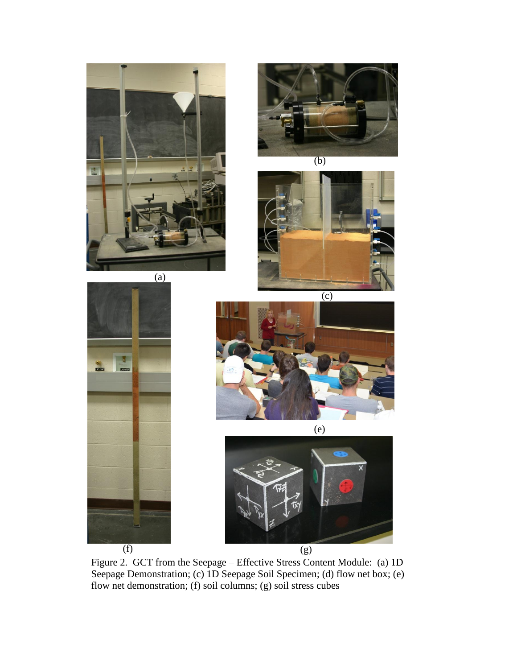



(b)







(e)



Figure 2. GCT from the Seepage – Effective Stress Content Module: (a) 1D Seepage Demonstration; (c) 1D Seepage Soil Specimen; (d) flow net box; (e) flow net demonstration; (f) soil columns; (g) soil stress cubes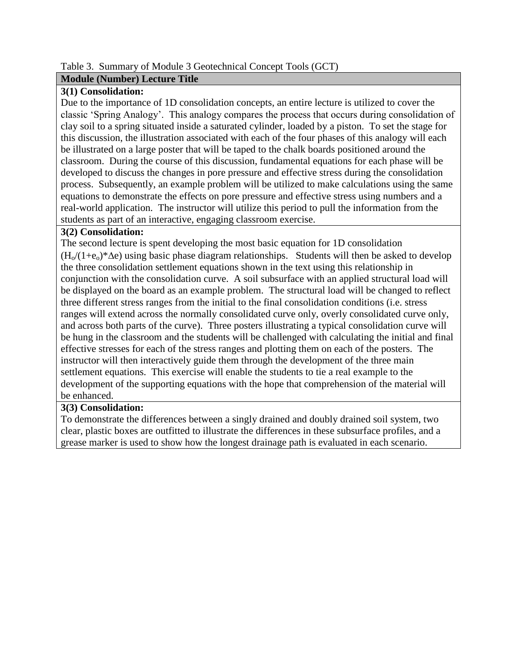## Table 3. Summary of Module 3 Geotechnical Concept Tools (GCT)

## **Module (Number) Lecture Title**

## **3(1) Consolidation:**

Due to the importance of 1D consolidation concepts, an entire lecture is utilized to cover the classic 'Spring Analogy'. This analogy compares the process that occurs during consolidation of clay soil to a spring situated inside a saturated cylinder, loaded by a piston. To set the stage for this discussion, the illustration associated with each of the four phases of this analogy will each be illustrated on a large poster that will be taped to the chalk boards positioned around the classroom. During the course of this discussion, fundamental equations for each phase will be developed to discuss the changes in pore pressure and effective stress during the consolidation process. Subsequently, an example problem will be utilized to make calculations using the same equations to demonstrate the effects on pore pressure and effective stress using numbers and a real-world application. The instructor will utilize this period to pull the information from the students as part of an interactive, engaging classroom exercise.

### **3(2) Consolidation:**

The second lecture is spent developing the most basic equation for 1D consolidation  $(H_0/(1+\epsilon_0)^*\Delta e)$  using basic phase diagram relationships. Students will then be asked to develop the three consolidation settlement equations shown in the text using this relationship in conjunction with the consolidation curve. A soil subsurface with an applied structural load will be displayed on the board as an example problem. The structural load will be changed to reflect three different stress ranges from the initial to the final consolidation conditions (i.e. stress ranges will extend across the normally consolidated curve only, overly consolidated curve only, and across both parts of the curve). Three posters illustrating a typical consolidation curve will be hung in the classroom and the students will be challenged with calculating the initial and final effective stresses for each of the stress ranges and plotting them on each of the posters. The instructor will then interactively guide them through the development of the three main settlement equations. This exercise will enable the students to tie a real example to the development of the supporting equations with the hope that comprehension of the material will be enhanced.

## **3(3) Consolidation:**

To demonstrate the differences between a singly drained and doubly drained soil system, two clear, plastic boxes are outfitted to illustrate the differences in these subsurface profiles, and a grease marker is used to show how the longest drainage path is evaluated in each scenario.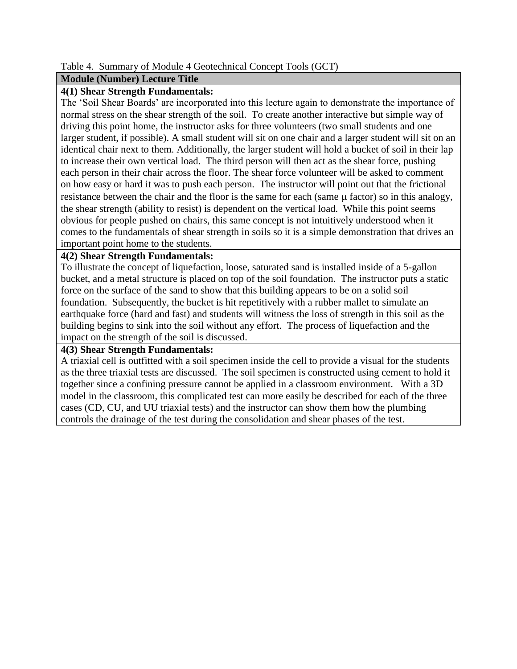### Table 4. Summary of Module 4 Geotechnical Concept Tools (GCT)

#### **Module (Number) Lecture Title**

### **4(1) Shear Strength Fundamentals:**

The 'Soil Shear Boards' are incorporated into this lecture again to demonstrate the importance of normal stress on the shear strength of the soil. To create another interactive but simple way of driving this point home, the instructor asks for three volunteers (two small students and one larger student, if possible). A small student will sit on one chair and a larger student will sit on an identical chair next to them. Additionally, the larger student will hold a bucket of soil in their lap to increase their own vertical load. The third person will then act as the shear force, pushing each person in their chair across the floor. The shear force volunteer will be asked to comment on how easy or hard it was to push each person. The instructor will point out that the frictional resistance between the chair and the floor is the same for each (same  $\mu$  factor) so in this analogy, the shear strength (ability to resist) is dependent on the vertical load. While this point seems obvious for people pushed on chairs, this same concept is not intuitively understood when it comes to the fundamentals of shear strength in soils so it is a simple demonstration that drives an important point home to the students.

### **4(2) Shear Strength Fundamentals:**

To illustrate the concept of liquefaction, loose, saturated sand is installed inside of a 5-gallon bucket, and a metal structure is placed on top of the soil foundation. The instructor puts a static force on the surface of the sand to show that this building appears to be on a solid soil foundation. Subsequently, the bucket is hit repetitively with a rubber mallet to simulate an earthquake force (hard and fast) and students will witness the loss of strength in this soil as the building begins to sink into the soil without any effort. The process of liquefaction and the impact on the strength of the soil is discussed.

#### **4(3) Shear Strength Fundamentals:**

A triaxial cell is outfitted with a soil specimen inside the cell to provide a visual for the students as the three triaxial tests are discussed. The soil specimen is constructed using cement to hold it together since a confining pressure cannot be applied in a classroom environment. With a 3D model in the classroom, this complicated test can more easily be described for each of the three cases (CD, CU, and UU triaxial tests) and the instructor can show them how the plumbing controls the drainage of the test during the consolidation and shear phases of the test.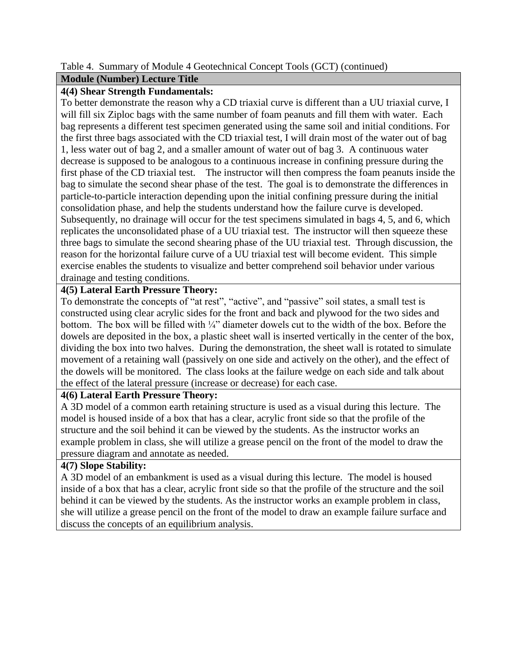### Table 4. Summary of Module 4 Geotechnical Concept Tools (GCT) (continued)

## **Module (Number) Lecture Title**

## **4(4) Shear Strength Fundamentals:**

To better demonstrate the reason why a CD triaxial curve is different than a UU triaxial curve, I will fill six Ziploc bags with the same number of foam peanuts and fill them with water. Each bag represents a different test specimen generated using the same soil and initial conditions. For the first three bags associated with the CD triaxial test, I will drain most of the water out of bag 1, less water out of bag 2, and a smaller amount of water out of bag 3. A continuous water decrease is supposed to be analogous to a continuous increase in confining pressure during the first phase of the CD triaxial test. The instructor will then compress the foam peanuts inside the bag to simulate the second shear phase of the test. The goal is to demonstrate the differences in particle-to-particle interaction depending upon the initial confining pressure during the initial consolidation phase, and help the students understand how the failure curve is developed. Subsequently, no drainage will occur for the test specimens simulated in bags 4, 5, and 6, which replicates the unconsolidated phase of a UU triaxial test. The instructor will then squeeze these three bags to simulate the second shearing phase of the UU triaxial test. Through discussion, the reason for the horizontal failure curve of a UU triaxial test will become evident. This simple exercise enables the students to visualize and better comprehend soil behavior under various drainage and testing conditions.

## **4(5) Lateral Earth Pressure Theory:**

To demonstrate the concepts of "at rest", "active", and "passive" soil states, a small test is constructed using clear acrylic sides for the front and back and plywood for the two sides and bottom. The box will be filled with ¼" diameter dowels cut to the width of the box. Before the dowels are deposited in the box, a plastic sheet wall is inserted vertically in the center of the box, dividing the box into two halves. During the demonstration, the sheet wall is rotated to simulate movement of a retaining wall (passively on one side and actively on the other), and the effect of the dowels will be monitored. The class looks at the failure wedge on each side and talk about the effect of the lateral pressure (increase or decrease) for each case.

### **4(6) Lateral Earth Pressure Theory:**

A 3D model of a common earth retaining structure is used as a visual during this lecture. The model is housed inside of a box that has a clear, acrylic front side so that the profile of the structure and the soil behind it can be viewed by the students. As the instructor works an example problem in class, she will utilize a grease pencil on the front of the model to draw the pressure diagram and annotate as needed.

### **4(7) Slope Stability:**

A 3D model of an embankment is used as a visual during this lecture. The model is housed inside of a box that has a clear, acrylic front side so that the profile of the structure and the soil behind it can be viewed by the students. As the instructor works an example problem in class, she will utilize a grease pencil on the front of the model to draw an example failure surface and discuss the concepts of an equilibrium analysis.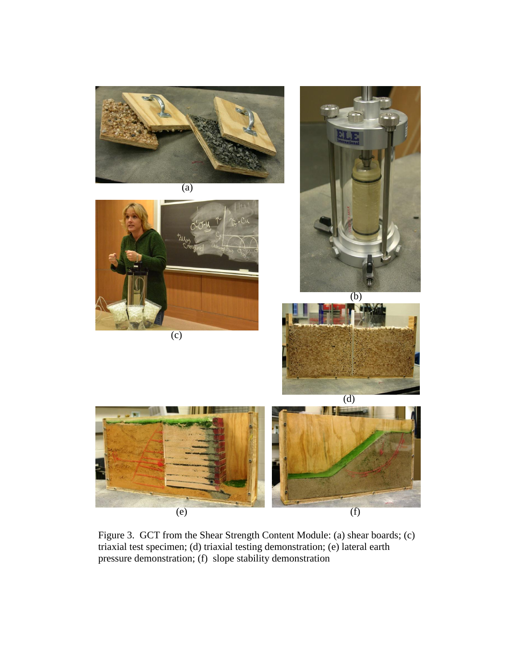

Figure 3. GCT from the Shear Strength Content Module: (a) shear boards; (c) triaxial test specimen; (d) triaxial testing demonstration; (e) lateral earth pressure demonstration; (f) slope stability demonstration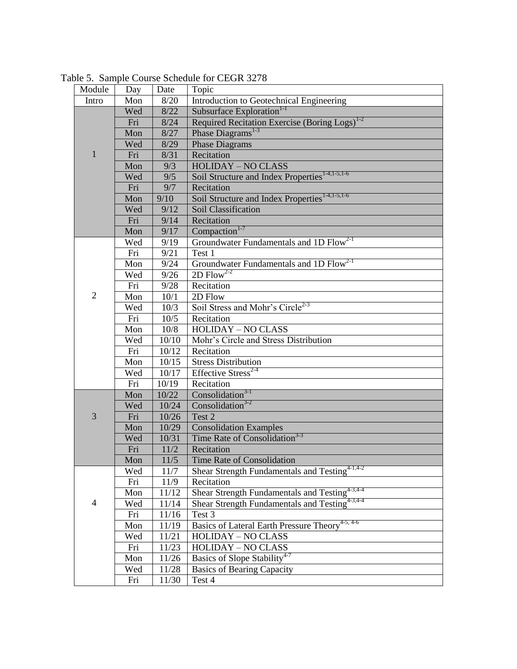| Module         | Day | Date   | Topic                                                       |  |  |  |
|----------------|-----|--------|-------------------------------------------------------------|--|--|--|
| Intro          | Mon | 8/20   | Introduction to Geotechnical Engineering                    |  |  |  |
|                | Wed | 8/22   | Subsurface Exploration <sup>1-1</sup>                       |  |  |  |
| 1              | Fri | 8/24   | Required Recitation Exercise (Boring Logs) <sup>1-2</sup>   |  |  |  |
|                | Mon | 8/27   | Phase Diagrams <sup>1-3</sup>                               |  |  |  |
|                | Wed | 8/29   | <b>Phase Diagrams</b>                                       |  |  |  |
|                | Fri | 8/31   | Recitation                                                  |  |  |  |
|                | Mon | 9/3    | <b>HOLIDAY - NO CLASS</b>                                   |  |  |  |
|                | Wed | 9/5    | Soil Structure and Index Properties <sup>1-4,1-5,1-6</sup>  |  |  |  |
|                | Fri | 9/7    | Recitation                                                  |  |  |  |
|                | Mon | 9/10   | Soil Structure and Index Properties <sup>1-4,1-5,1-6</sup>  |  |  |  |
|                | Wed | 9/12   | Soil Classification                                         |  |  |  |
|                | Fri | 9/14   | Recitation                                                  |  |  |  |
| $\overline{2}$ | Mon | 9/17   | $Comparation1-7$                                            |  |  |  |
|                | Wed | 9/19   | Groundwater Fundamentals and 1D Flow <sup>2-1</sup>         |  |  |  |
|                | Fri | 9/21   | Test 1                                                      |  |  |  |
|                | Mon | 9/24   | Groundwater Fundamentals and 1D Flow <sup>2-1</sup>         |  |  |  |
|                | Wed | 9/26   | $2D$ Flow <sup>2-2</sup>                                    |  |  |  |
|                | Fri | 9/28   | Recitation                                                  |  |  |  |
|                | Mon | 10/1   | 2D Flow                                                     |  |  |  |
|                | Wed | 10/3   | Soil Stress and Mohr's Circle <sup>2-3</sup>                |  |  |  |
|                | Fri | 10/5   | Recitation                                                  |  |  |  |
|                | Mon | 10/8   | <b>HOLIDAY - NO CLASS</b>                                   |  |  |  |
|                | Wed | 10/10  | Mohr's Circle and Stress Distribution                       |  |  |  |
|                | Fri | 10/12  | Recitation                                                  |  |  |  |
|                | Mon | 10/15  | <b>Stress Distribution</b>                                  |  |  |  |
|                | Wed | 10/17  | Effective Stress <sup>2-4</sup>                             |  |  |  |
|                | Fri | 10/19  | Recitation                                                  |  |  |  |
| 3              | Mon | 10/22  | $Consolidation3-1$                                          |  |  |  |
|                | Wed | 10/24  | Consolidation <sup>3-2</sup>                                |  |  |  |
|                | Fri | 10/26  | Test 2                                                      |  |  |  |
|                | Mon | 10/29  | <b>Consolidation Examples</b>                               |  |  |  |
|                | Wed | 10/31  | Time Rate of Consolidation <sup>3-3</sup>                   |  |  |  |
|                | Fri | 11/2   | Recitation                                                  |  |  |  |
|                | Mon | $11/5$ | Time Rate of Consolidation                                  |  |  |  |
| $\overline{4}$ | Wed | 11/7   | Shear Strength Fundamentals and Testing <sup>4-1,4-2</sup>  |  |  |  |
|                | Fri | 11/9   | Recitation                                                  |  |  |  |
|                | Mon | 11/12  | Shear Strength Fundamentals and Testing <sup>4-3,4-4</sup>  |  |  |  |
|                | Wed | 11/14  | Shear Strength Fundamentals and Testing <sup>4-3,4-4</sup>  |  |  |  |
|                | Fri | 11/16  | Test 3                                                      |  |  |  |
|                | Mon | 11/19  | Basics of Lateral Earth Pressure Theory <sup>4-5, 4-6</sup> |  |  |  |
|                | Wed | 11/21  | <b>HOLIDAY - NO CLASS</b>                                   |  |  |  |
|                | Fri | 11/23  | <b>HOLIDAY - NO CLASS</b>                                   |  |  |  |
|                | Mon | 11/26  | Basics of Slope Stability <sup>4-7</sup>                    |  |  |  |
|                | Wed | 11/28  | <b>Basics of Bearing Capacity</b>                           |  |  |  |
|                | Fri | 11/30  | Test 4                                                      |  |  |  |

Table 5. Sample Course Schedule for CEGR 3278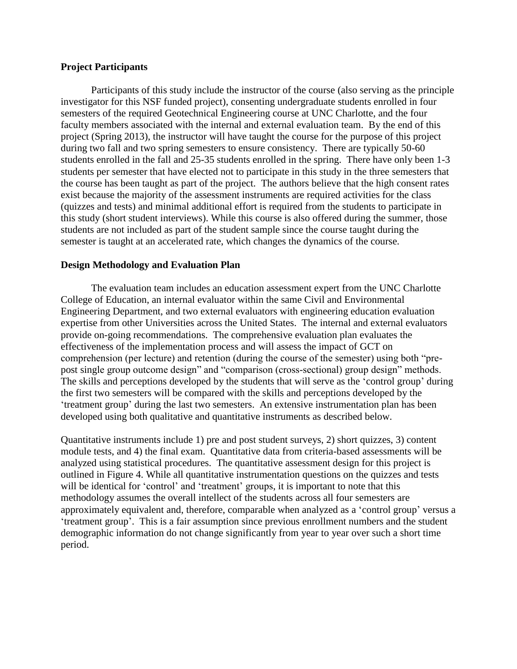#### **Project Participants**

Participants of this study include the instructor of the course (also serving as the principle investigator for this NSF funded project), consenting undergraduate students enrolled in four semesters of the required Geotechnical Engineering course at UNC Charlotte, and the four faculty members associated with the internal and external evaluation team. By the end of this project (Spring 2013), the instructor will have taught the course for the purpose of this project during two fall and two spring semesters to ensure consistency. There are typically 50-60 students enrolled in the fall and 25-35 students enrolled in the spring. There have only been 1-3 students per semester that have elected not to participate in this study in the three semesters that the course has been taught as part of the project. The authors believe that the high consent rates exist because the majority of the assessment instruments are required activities for the class (quizzes and tests) and minimal additional effort is required from the students to participate in this study (short student interviews). While this course is also offered during the summer, those students are not included as part of the student sample since the course taught during the semester is taught at an accelerated rate, which changes the dynamics of the course.

#### **Design Methodology and Evaluation Plan**

The evaluation team includes an education assessment expert from the UNC Charlotte College of Education, an internal evaluator within the same Civil and Environmental Engineering Department, and two external evaluators with engineering education evaluation expertise from other Universities across the United States. The internal and external evaluators provide on-going recommendations. The comprehensive evaluation plan evaluates the effectiveness of the implementation process and will assess the impact of GCT on comprehension (per lecture) and retention (during the course of the semester) using both "prepost single group outcome design" and "comparison (cross-sectional) group design" methods. The skills and perceptions developed by the students that will serve as the 'control group' during the first two semesters will be compared with the skills and perceptions developed by the 'treatment group' during the last two semesters. An extensive instrumentation plan has been developed using both qualitative and quantitative instruments as described below.

Quantitative instruments include 1) pre and post student surveys, 2) short quizzes, 3) content module tests, and 4) the final exam. Quantitative data from criteria-based assessments will be analyzed using statistical procedures. The quantitative assessment design for this project is outlined in Figure 4. While all quantitative instrumentation questions on the quizzes and tests will be identical for 'control' and 'treatment' groups, it is important to note that this methodology assumes the overall intellect of the students across all four semesters are approximately equivalent and, therefore, comparable when analyzed as a 'control group' versus a 'treatment group'. This is a fair assumption since previous enrollment numbers and the student demographic information do not change significantly from year to year over such a short time period.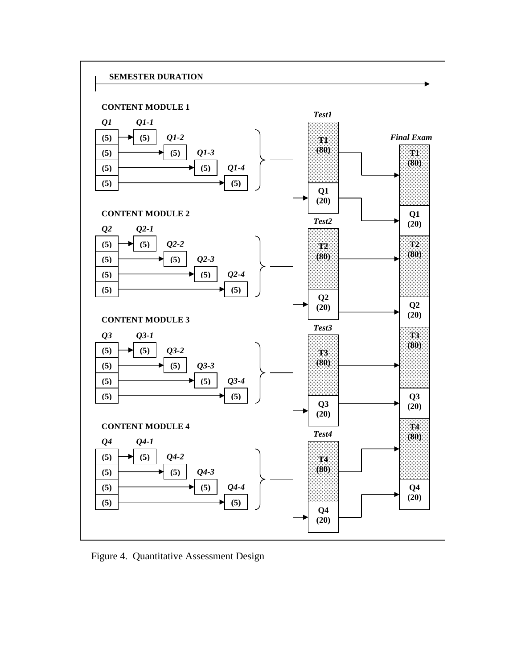

Figure 4. Quantitative Assessment Design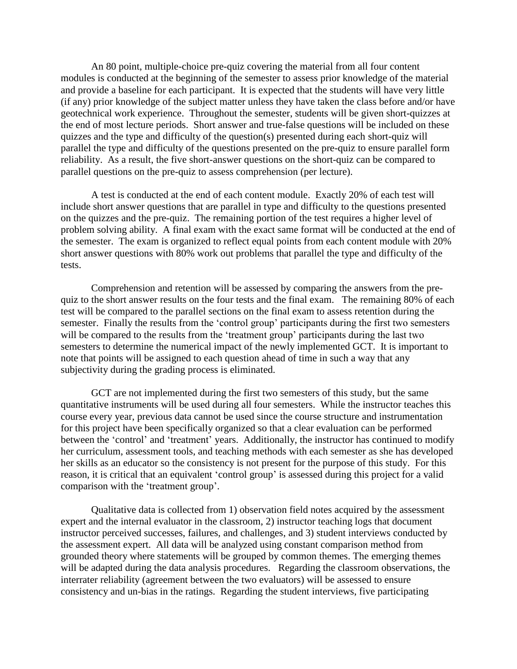An 80 point, multiple-choice pre-quiz covering the material from all four content modules is conducted at the beginning of the semester to assess prior knowledge of the material and provide a baseline for each participant. It is expected that the students will have very little (if any) prior knowledge of the subject matter unless they have taken the class before and/or have geotechnical work experience. Throughout the semester, students will be given short-quizzes at the end of most lecture periods. Short answer and true-false questions will be included on these quizzes and the type and difficulty of the question(s) presented during each short-quiz will parallel the type and difficulty of the questions presented on the pre-quiz to ensure parallel form reliability. As a result, the five short-answer questions on the short-quiz can be compared to parallel questions on the pre-quiz to assess comprehension (per lecture).

A test is conducted at the end of each content module. Exactly 20% of each test will include short answer questions that are parallel in type and difficulty to the questions presented on the quizzes and the pre-quiz. The remaining portion of the test requires a higher level of problem solving ability. A final exam with the exact same format will be conducted at the end of the semester. The exam is organized to reflect equal points from each content module with 20% short answer questions with 80% work out problems that parallel the type and difficulty of the tests.

Comprehension and retention will be assessed by comparing the answers from the prequiz to the short answer results on the four tests and the final exam. The remaining 80% of each test will be compared to the parallel sections on the final exam to assess retention during the semester. Finally the results from the 'control group' participants during the first two semesters will be compared to the results from the 'treatment group' participants during the last two semesters to determine the numerical impact of the newly implemented GCT. It is important to note that points will be assigned to each question ahead of time in such a way that any subjectivity during the grading process is eliminated.

GCT are not implemented during the first two semesters of this study, but the same quantitative instruments will be used during all four semesters. While the instructor teaches this course every year, previous data cannot be used since the course structure and instrumentation for this project have been specifically organized so that a clear evaluation can be performed between the 'control' and 'treatment' years. Additionally, the instructor has continued to modify her curriculum, assessment tools, and teaching methods with each semester as she has developed her skills as an educator so the consistency is not present for the purpose of this study. For this reason, it is critical that an equivalent 'control group' is assessed during this project for a valid comparison with the 'treatment group'.

Qualitative data is collected from 1) observation field notes acquired by the assessment expert and the internal evaluator in the classroom, 2) instructor teaching logs that document instructor perceived successes, failures, and challenges, and 3) student interviews conducted by the assessment expert. All data will be analyzed using constant comparison method from grounded theory where statements will be grouped by common themes. The emerging themes will be adapted during the data analysis procedures. Regarding the classroom observations, the interrater reliability (agreement between the two evaluators) will be assessed to ensure consistency and un-bias in the ratings. Regarding the student interviews, five participating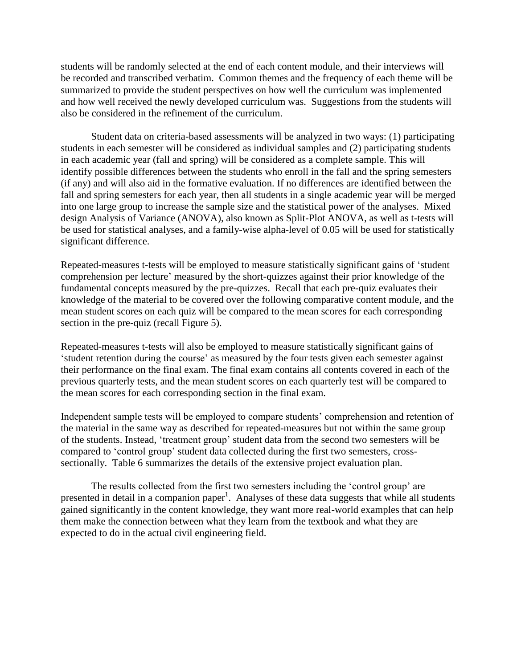students will be randomly selected at the end of each content module, and their interviews will be recorded and transcribed verbatim. Common themes and the frequency of each theme will be summarized to provide the student perspectives on how well the curriculum was implemented and how well received the newly developed curriculum was. Suggestions from the students will also be considered in the refinement of the curriculum.

Student data on criteria-based assessments will be analyzed in two ways: (1) participating students in each semester will be considered as individual samples and (2) participating students in each academic year (fall and spring) will be considered as a complete sample. This will identify possible differences between the students who enroll in the fall and the spring semesters (if any) and will also aid in the formative evaluation. If no differences are identified between the fall and spring semesters for each year, then all students in a single academic year will be merged into one large group to increase the sample size and the statistical power of the analyses. Mixed design Analysis of Variance (ANOVA), also known as Split-Plot ANOVA, as well as t-tests will be used for statistical analyses, and a family-wise alpha-level of 0.05 will be used for statistically significant difference.

Repeated-measures t-tests will be employed to measure statistically significant gains of 'student comprehension per lecture' measured by the short-quizzes against their prior knowledge of the fundamental concepts measured by the pre-quizzes. Recall that each pre-quiz evaluates their knowledge of the material to be covered over the following comparative content module, and the mean student scores on each quiz will be compared to the mean scores for each corresponding section in the pre-quiz (recall Figure 5).

Repeated-measures t-tests will also be employed to measure statistically significant gains of 'student retention during the course' as measured by the four tests given each semester against their performance on the final exam. The final exam contains all contents covered in each of the previous quarterly tests, and the mean student scores on each quarterly test will be compared to the mean scores for each corresponding section in the final exam.

Independent sample tests will be employed to compare students' comprehension and retention of the material in the same way as described for repeated-measures but not within the same group of the students. Instead, 'treatment group' student data from the second two semesters will be compared to 'control group' student data collected during the first two semesters, crosssectionally. Table 6 summarizes the details of the extensive project evaluation plan.

The results collected from the first two semesters including the 'control group' are presented in detail in a companion paper<sup>1</sup>. Analyses of these data suggests that while all students gained significantly in the content knowledge, they want more real-world examples that can help them make the connection between what they learn from the textbook and what they are expected to do in the actual civil engineering field.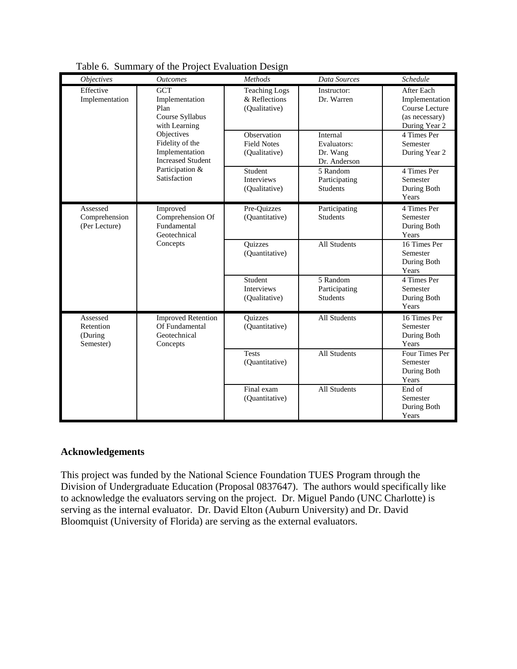| <b>Objectives</b>                             | <b>Outcomes</b>                                                             | Methods                                                | Data Sources                                        | Schedule                                                                                 |
|-----------------------------------------------|-----------------------------------------------------------------------------|--------------------------------------------------------|-----------------------------------------------------|------------------------------------------------------------------------------------------|
| Effective<br>Implementation                   | <b>GCT</b><br>Implementation<br>Plan<br>Course Syllabus<br>with Learning    | <b>Teaching Logs</b><br>& Reflections<br>(Qualitative) | Instructor:<br>Dr. Warren                           | <b>After Each</b><br>Implementation<br>Course Lecture<br>(as necessary)<br>During Year 2 |
|                                               | Objectives<br>Fidelity of the<br>Implementation<br><b>Increased Student</b> | Observation<br><b>Field Notes</b><br>(Qualitative)     | Internal<br>Evaluators:<br>Dr. Wang<br>Dr. Anderson | 4 Times Per<br>Semester<br>During Year 2                                                 |
|                                               | Participation &<br>Satisfaction                                             | Student<br><b>Interviews</b><br>(Qualitative)          | 5 Random<br>Participating<br><b>Students</b>        | 4 Times Per<br>Semester<br>During Both<br>Years                                          |
| Assessed<br>Comprehension<br>(Per Lecture)    | Improved<br>Comprehension Of<br>Fundamental<br>Geotechnical                 | Pre-Quizzes<br>(Quantitative)                          | Participating<br><b>Students</b>                    | 4 Times Per<br>Semester<br>During Both<br>Years                                          |
|                                               | Concepts                                                                    | Quizzes<br>(Quantitative)                              | All Students                                        | 16 Times Per<br>Semester<br>During Both<br>Years                                         |
|                                               |                                                                             | Student<br>Interviews<br>(Qualitative)                 | 5 Random<br>Participating<br><b>Students</b>        | 4 Times Per<br>Semester<br>During Both<br>Years                                          |
| Assessed<br>Retention<br>(During<br>Semester) | <b>Improved Retention</b><br>Of Fundamental<br>Geotechnical<br>Concepts     | Quizzes<br>(Quantitative)                              | <b>All Students</b>                                 | 16 Times Per<br>Semester<br>During Both<br>Years                                         |
|                                               |                                                                             | <b>Tests</b><br>(Quantitative)                         | All Students                                        | Four Times Per<br>Semester<br>During Both<br>Years                                       |
|                                               |                                                                             | Final exam<br>(Quantitative)                           | All Students                                        | End of<br>Semester<br>During Both<br>Years                                               |

Table 6. Summary of the Project Evaluation Design

#### **Acknowledgements**

This project was funded by the National Science Foundation TUES Program through the Division of Undergraduate Education (Proposal 0837647). The authors would specifically like to acknowledge the evaluators serving on the project. Dr. Miguel Pando (UNC Charlotte) is serving as the internal evaluator. Dr. David Elton (Auburn University) and Dr. David Bloomquist (University of Florida) are serving as the external evaluators.